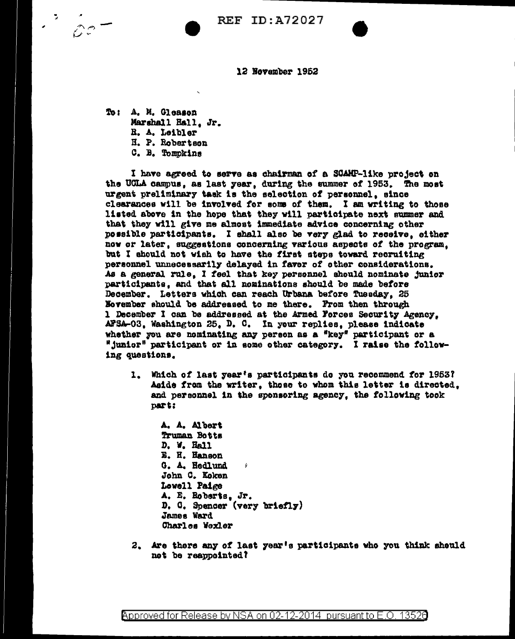## 12 November 1952

То: А. М. Gleason Marshall Hall. Jr. R. A. Leibler H. P. Robertson

C. B. Tomokins

I have agreed to serve as chairman of a SCAMP-like project on the UCLA campus, as last year, during the summer of 1953. The most urgent preliminary task is the selection of personnel, since clearances will be involved for some of them. I am writing to those listed above in the hope that they will participate next summer and that they will give me almost immediate advice concerning other possible participants. I shall also be very glad to receive, either now or later, suggestions concerning various aspects of the program. but I should not wish to have the first steps toward recruiting personnel unnecessarily delayed in favor of other considerations. As a general rule. I feel that key personnel should nominate junior participants, and that all nominations should be made before December. Letters which can reach Urbana before Tuesday. 25 November should be addressed to me there. From then through 1 December I can be addressed at the Armed Forces Security Agency. AFSA-03, Washington 25, D. C. In your replies, please indicate whether you are nominating any person as a "key" participant or a "junior" participant or in some other category. I raise the following questions.

1. Which of last year's participants do you recommend for 1953? Aside from the writer, these to whom this letter is directed. and personnel in the sponsoring agency, the following took part:

A. A. Albert Truman Botts D. W. Hall E. H. Hanson G. A. Hedlund  $\boldsymbol{y}$ John C. Koken Lowell Paige A. E. Roberts. Jr. D. C. Spencer (very briefly) James Ward Charles Wexler

2. Are there any of last year's participants who you think should not be reappointed?